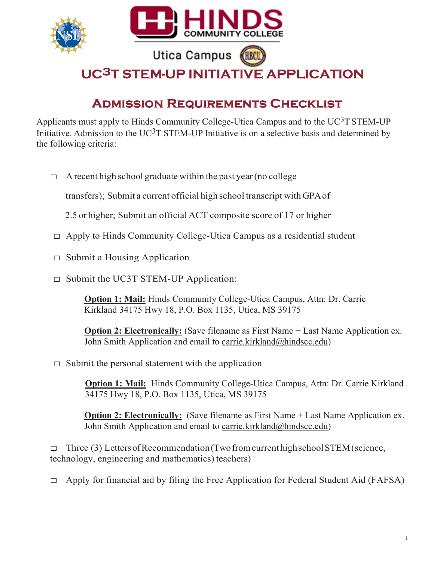

## Admission Requirements Checklist

Applicants must apply to Hinds Community College-Utica Campus and to the  $UC^3T$  STEM-UP Initiative. Admission to the  $UC^3T$  STEM-UP Initiative is on a selective basis and determined by the following criteria:

 $\Box$  A recent high school graduate within the past year (no college

transfers); Submit a current official high school transcript with GPA of

- 2.5 or higher; Submit an official ACT composite score of 17 or higher
- $\Box$  Apply to Hinds Community College-Utica Campus as a residential student
- $\Box$  Submit a Housing Application
- □ Submit the UC3T STEM-UP Application:

Option 1: Mail: Hinds Community College-Utica Campus, Attn: Dr. Carrie Kirkland 34175 Hwy 18, P.O. Box 1135, Utica, MS 39175

**Option 2: Electronically:** (Save filename as First Name + Last Name Application ex. John Smith Application and email to carrie.kirkland@hindscc.edu)

 $\Box$  Submit the personal statement with the application

**Option 1: Mail:** Hinds Community College-Utica Campus, Attn: Dr. Carrie Kirkland 34175 Hwy 18, P.O. Box 1135, Utica, MS 39175

**Option 2: Electronically:** (Save filename as First Name + Last Name Application ex. John Smith Application and email to carrie.kirkland@hindscc.edu)

 $\Box$  Three (3) Letters of Recommendation (Two from current high school STEM (science, technology, engineering and mathematics) teachers)

 $\Box$  Apply for financial aid by filing the Free Application for Federal Student Aid (FAFSA)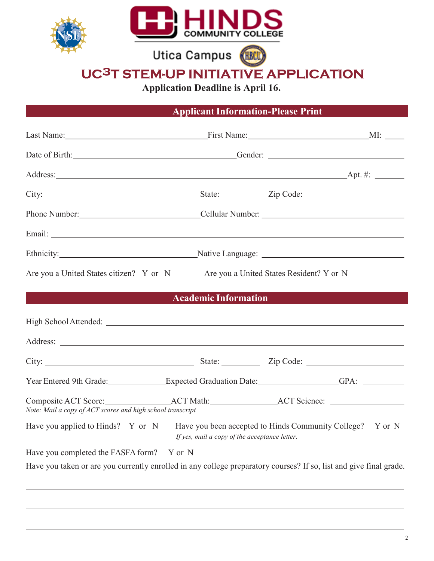

Utica Campus (HRCLI)

# UC3T STEM-UP INITIATIVE APPLICATION

Application Deadline is April 16.

### Applicant Information-Please Print

|                                                            |                                               | Date of Birth: Contact Contact Contact Contact Contact Contact Contact Contact Contact Contact Contact Contact Contact Contact Contact Contact Contact Contact Contact Contact Contact Contact Contact Contact Contact Contact |
|------------------------------------------------------------|-----------------------------------------------|--------------------------------------------------------------------------------------------------------------------------------------------------------------------------------------------------------------------------------|
|                                                            |                                               |                                                                                                                                                                                                                                |
|                                                            |                                               |                                                                                                                                                                                                                                |
|                                                            |                                               | Phone Number: Cellular Number: Cellular Number:                                                                                                                                                                                |
|                                                            |                                               |                                                                                                                                                                                                                                |
|                                                            |                                               | Ethnicity: Native Language: Native Language: Native Language: 2014                                                                                                                                                             |
| Are you a United States citizen? Y or N                    |                                               | Are you a United States Resident? Y or N                                                                                                                                                                                       |
| <b>Service Service</b>                                     | <b>Academic Information</b>                   | $\mathcal{L}(\mathcal{L})$ and $\mathcal{L}(\mathcal{L})$ and $\mathcal{L}(\mathcal{L})$ and $\mathcal{L}(\mathcal{L})$                                                                                                        |
|                                                            |                                               |                                                                                                                                                                                                                                |
|                                                            |                                               |                                                                                                                                                                                                                                |
|                                                            |                                               | Year Entered 9th Grade: Expected Graduation Date: GPA: GPA:                                                                                                                                                                    |
| Note: Mail a copy of ACT scores and high school transcript |                                               |                                                                                                                                                                                                                                |
| Have you applied to Hinds? Y or N                          | If yes, mail a copy of the acceptance letter. | Have you been accepted to Hinds Community College? Y or N                                                                                                                                                                      |
| Have you completed the FASFA form? Y or N                  |                                               |                                                                                                                                                                                                                                |
|                                                            |                                               | Have you taken or are you currently enrolled in any college preparatory courses? If so, list and give final grade.                                                                                                             |
|                                                            |                                               |                                                                                                                                                                                                                                |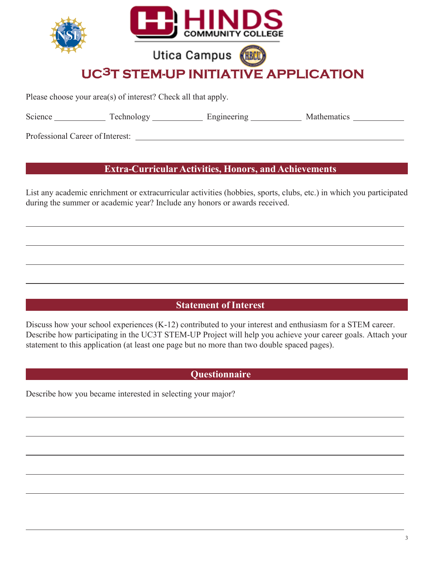

Please choose your area(s) of interest? Check all that apply.

Science Technology Engineering Mathematics

Professional Career of Interest:

#### Extra-Curricular Activities, Honors, and Achievements

List any academic enrichment or extracurricular activities (hobbies, sports, clubs, etc.) in which you participated during the summer or academic year? Include any honors or awards received.

#### Statement of Interest

Discuss how your school experiences (K-12) contributed to your interest and enthusiasm for a STEM career. Describe how participating in the UC3T STEM-UP Project will help you achieve your career goals. Attach your statement to this application (at least one page but no more than two double spaced pages).

#### **Questionnaire**

Describe how you became interested in selecting your major?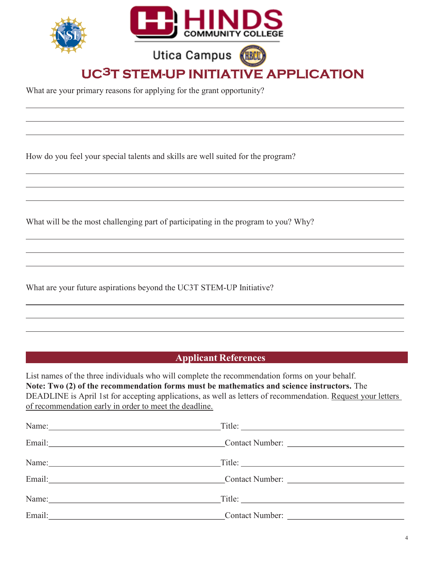

Utica Campus

UC3T STEM-UP INITIATIVE APPLICATION

What are your primary reasons for applying for the grant opportunity?

How do you feel your special talents and skills are well suited for the program?

What will be the most challenging part of participating in the program to you? Why?

What are your future aspirations beyond the UC3T STEM-UP Initiative?

#### Applicant References

List names of the three individuals who will complete the recommendation forms on your behalf. Note: Two (2) of the recommendation forms must be mathematics and science instructors. The DEADLINE is April 1st for accepting applications, as well as letters of recommendation. Request your letters of recommendation early in order to meet the deadline.

|                                                                                                                                                                                                                                | Title: |
|--------------------------------------------------------------------------------------------------------------------------------------------------------------------------------------------------------------------------------|--------|
| Email: Contact Number: Contact Number: 2008. Contact Number: 2008. Contact Number: 2008. Contact Number: 2008. Contact Number: 2008. Contact Number: 2008. Contact Number: 2008. Contact Number: 2008. Contact Number: 2008. C |        |
|                                                                                                                                                                                                                                |        |
| Email: Contact Number:                                                                                                                                                                                                         |        |
|                                                                                                                                                                                                                                | Title: |
| Email:                                                                                                                                                                                                                         |        |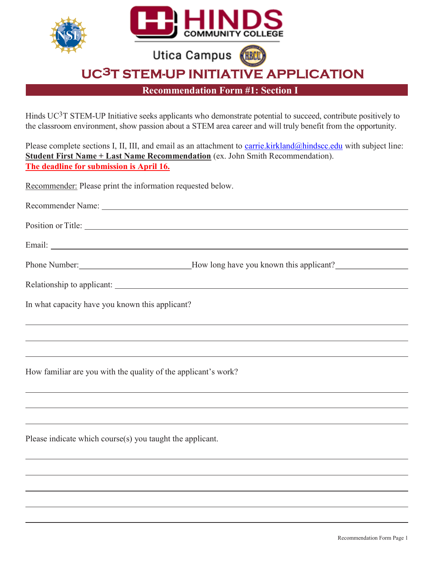

Recommendation Form #1: Section I

Hinds UC<sup>3</sup>T STEM-UP Initiative seeks applicants who demonstrate potential to succeed, contribute positively to the classroom environment, show passion about a STEM area career and will truly benefit from the opportunity.

Please complete sections I, II, III, and email as an attachment to carrie.kirkland@hindscc.edu with subject line: Student First Name + Last Name Recommendation (ex. John Smith Recommendation). The deadline for submission is April 16.

Recommender: Please print the information requested below.

| Recommender Name:  |  |  |  |
|--------------------|--|--|--|
|                    |  |  |  |
| Position or Title: |  |  |  |
|                    |  |  |  |
| Email:             |  |  |  |

| Phone Number: | _How long have you known this applicant? |
|---------------|------------------------------------------|
|               |                                          |

| Relationship to applicant: |  |
|----------------------------|--|
|----------------------------|--|

In what capacity have you known this applicant?

How familiar are you with the quality of the applicant's work?

Please indicate which course(s) you taught the applicant.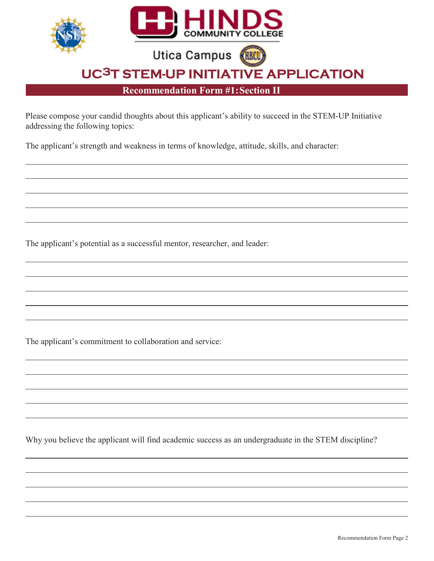

Please compose your candid thoughts about this applicant's ability to succeed in the STEM-UP Initiative addressing the following topics:

The applicant's strength and weakness in terms of knowledge, attitude, skills, and character:

The applicant's potential as a successful mentor, researcher, and leader:

The applicant's commitment to collaboration and service:

Why you believe the applicant will find academic success as an undergraduate in the STEM discipline?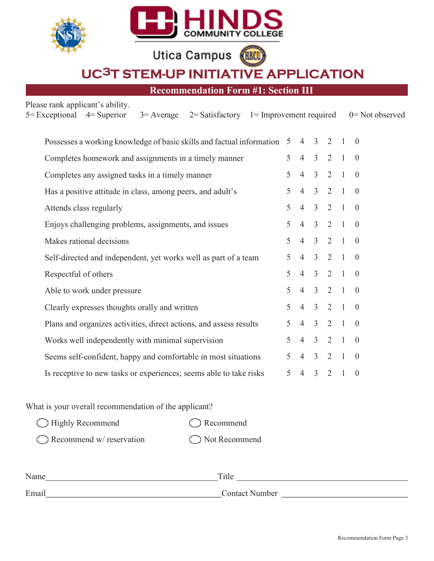

Utica Campus **KHBCU** 

UC3T STEM-UP INITIATIVE APPLICATION

Recommendation Form #1: Section III

Please rank applicant's ability.

| $5 = Exceptional$<br>$4 =$ Superior<br>$2 = Satisfactory \quad 1 = Improvement required$<br>$3 =$ Average |                |                |                |                |                | $0 = Not observed$ |
|-----------------------------------------------------------------------------------------------------------|----------------|----------------|----------------|----------------|----------------|--------------------|
| Possesses a working knowledge of basic skills and factual information 5 4                                 |                |                | $\overline{3}$ | 2              |                | $\overline{0}$     |
| Completes homework and assignments in a timely manner                                                     | 5              | $\overline{4}$ | 3              | 2              |                | $\overline{0}$     |
| Completes any assigned tasks in a timely manner                                                           | 5 <sup>1</sup> | $\overline{4}$ | $\overline{3}$ | $2 \quad 1$    |                | $\overline{0}$     |
| Has a positive attitude in class, among peers, and adult's                                                | $5^{\circ}$    | $\overline{4}$ | $\overline{3}$ | 2 1            |                | $\overline{0}$     |
| Attends class regularly                                                                                   | 5              | $\overline{4}$ | $\overline{3}$ | $2 \quad 1$    |                | $\overline{0}$     |
| Enjoys challenging problems, assignments, and issues                                                      | 5              | $\overline{4}$ | $\overline{3}$ | 2              | $\mathbf{1}$   | $\overline{0}$     |
| Makes rational decisions                                                                                  | 5 <sup>1</sup> | $\overline{4}$ | $\overline{3}$ | 2 1            |                | $\overline{0}$     |
| Self-directed and independent, yet works well as part of a team                                           | 5              | $\overline{4}$ | $\overline{3}$ | $2 \quad 1$    |                | $\overline{0}$     |
| Respectful of others                                                                                      | 5 <sup>1</sup> | $\overline{4}$ | $\overline{3}$ | $2 \quad 1$    |                | $\overline{0}$     |
| Able to work under pressure                                                                               | 5              | $\overline{4}$ | $\overline{3}$ | 2              | $\overline{1}$ | $\overline{0}$     |
| Clearly expresses thoughts orally and written                                                             | 5 <sup>1</sup> | $\overline{4}$ | $\overline{3}$ | $2 \quad 1$    |                | $\theta$           |
| Plans and organizes activities, direct actions, and assess results                                        | 5              | $\overline{4}$ | $\overline{3}$ | $2 \quad 1$    |                | $\overline{0}$     |
| Works well independently with minimal supervision                                                         | 5.             | $\overline{4}$ | $\overline{3}$ | $\overline{2}$ | $\mathbf{1}$   | $\theta$           |
| Seems self-confident, happy and comfortable in most situations                                            | 5              | $\overline{4}$ | $\overline{3}$ | 2              | $\vert$        | $\overline{0}$     |
| Is receptive to new tasks or experiences; seems able to take risks                                        | 5              | $\overline{4}$ | $\overline{3}$ | 2              | $\mathbf{1}$   | $\overline{0}$     |
|                                                                                                           |                |                |                |                |                |                    |

What is your overall recommendation of the applicant?

| $\bigcirc$ Highly Recommend        | $\bigcap$ Recommend |
|------------------------------------|---------------------|
| $\bigcap$ Recommend w/ reservation | ◯ Not Recommend     |

| Name  | Title          |
|-------|----------------|
| Email | Contact Number |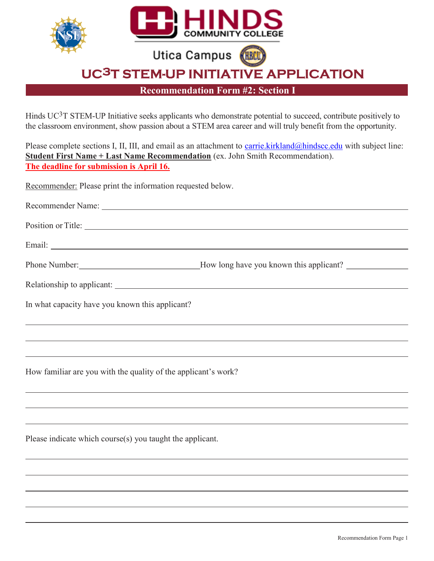

Recommendation Form #2: Section I

Hinds UC3T STEM-UP Initiative seeks applicants who demonstrate potential to succeed, contribute positively to the classroom environment, show passion about a STEM area career and will truly benefit from the opportunity.

Please complete sections I, II, III, and email as an attachment to carrie.kirkland@hindscc.edu with subject line: Student First Name + Last Name Recommendation (ex. John Smith Recommendation). The deadline for submission is April 16.

Recommender: Please print the information requested below.

| Position or Title:                                             |                                                                                                                |
|----------------------------------------------------------------|----------------------------------------------------------------------------------------------------------------|
|                                                                |                                                                                                                |
|                                                                | Phone Number: __________________________________How long have you known this applicant? ______________________ |
|                                                                |                                                                                                                |
| In what capacity have you known this applicant?                |                                                                                                                |
|                                                                |                                                                                                                |
|                                                                |                                                                                                                |
| How familiar are you with the quality of the applicant's work? |                                                                                                                |

Please indicate which course(s) you taught the applicant.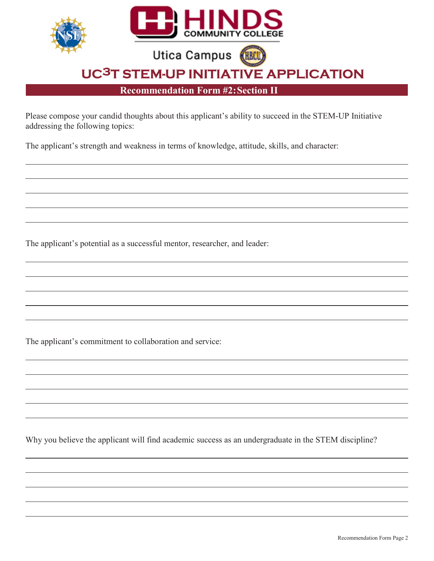

Recommendation Form #2: Section II

Please compose your candid thoughts about this applicant's ability to succeed in the STEM-UP Initiative addressing the following topics:

The applicant's strength and weakness in terms of knowledge, attitude, skills, and character:

The applicant's potential as a successful mentor, researcher, and leader:

The applicant's commitment to collaboration and service:

Why you believe the applicant will find academic success as an undergraduate in the STEM discipline?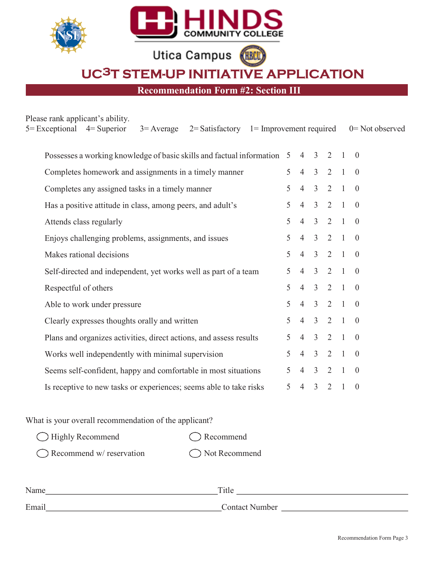|  |  | <b>COMMUNITY COLLEGE</b> |
|--|--|--------------------------|
|--|--|--------------------------|

**Utica Campus CHRCU** 

UC3T STEM-UP INITIATIVE APPLICATION

Recommendation Form #2: Section III

| Please rank applicant's ability.<br>$5 = Exceptional$ $4 = Superior$<br>$3 =$ Average $2 =$ Satisfactory $1 =$ Improvement required |                |                |                         |                     |                | $0 = Not observed$ |
|-------------------------------------------------------------------------------------------------------------------------------------|----------------|----------------|-------------------------|---------------------|----------------|--------------------|
|                                                                                                                                     |                |                |                         |                     |                |                    |
| Possesses a working knowledge of basic skills and factual information 5                                                             |                | $\overline{4}$ | $\overline{3}$          | 2                   |                | $\overline{0}$     |
| Completes homework and assignments in a timely manner                                                                               | 5 <sup>1</sup> | $\overline{4}$ | $\overline{3}$          | $2 \quad 1$         |                | $\overline{0}$     |
| Completes any assigned tasks in a timely manner                                                                                     | 5              | $\overline{4}$ | $\overline{3}$          | 2 1                 |                | $\overline{0}$     |
| Has a positive attitude in class, among peers, and adult's                                                                          | 5              | $\overline{4}$ | $\overline{3}$          | $2 \quad 1$         |                | $\overline{0}$     |
| Attends class regularly                                                                                                             | 5              | $\overline{4}$ | $\overline{3}$          | 2                   | -1             | $\overline{0}$     |
| Enjoys challenging problems, assignments, and issues                                                                                | $5^{\circ}$    | $\overline{4}$ |                         | $3 \t2 \t1$         |                | $\overline{0}$     |
| Makes rational decisions                                                                                                            | 5              | $\overline{4}$ |                         | $3 \t2 \t1 \t0$     |                |                    |
| Self-directed and independent, yet works well as part of a team                                                                     | 5              | $\overline{4}$ | $\overline{3}$          | $2 \quad 1$         |                | $\overline{0}$     |
| Respectful of others                                                                                                                | 5              | $\overline{4}$ | $\overline{3}$          | 2                   | -1             | $\overline{0}$     |
| Able to work under pressure                                                                                                         | 5              | $\overline{4}$ | $\overline{3}$          | 2 1                 |                | $\theta$           |
| Clearly expresses thoughts orally and written                                                                                       | $\mathcal{F}$  | $\overline{4}$ | $\overline{\mathbf{3}}$ | $2 \quad 1 \quad 0$ |                |                    |
| Plans and organizes activities, direct actions, and assess results                                                                  | 5              | $\overline{4}$ | $\overline{3}$          | 2                   | $\overline{1}$ | $\overline{0}$     |
| Works well independently with minimal supervision                                                                                   | 5.             | $\overline{4}$ | $\mathfrak{Z}$          | 2                   | $\mathbf{1}$   | $\overline{0}$     |
| Seems self-confident, happy and comfortable in most situations                                                                      | 5              | $\overline{4}$ | $\overline{3}$          | 2                   | $\overline{1}$ | $\overline{0}$     |
| Is receptive to new tasks or experiences; seems able to take risks                                                                  | 5              | $\overline{4}$ | $\overline{3}$          | 2                   | $\mathbf{1}$   | $\theta$           |

What is your overall recommendation of the applicant?

| $\bigcirc$ Highly Recommend        | $\bigcap$ Recommend |
|------------------------------------|---------------------|
| $\bigcap$ Recommend w/ reservation | ◯ Not Recommend     |

| Name  | m.<br>T ILIC   |
|-------|----------------|
| Email | Contact Number |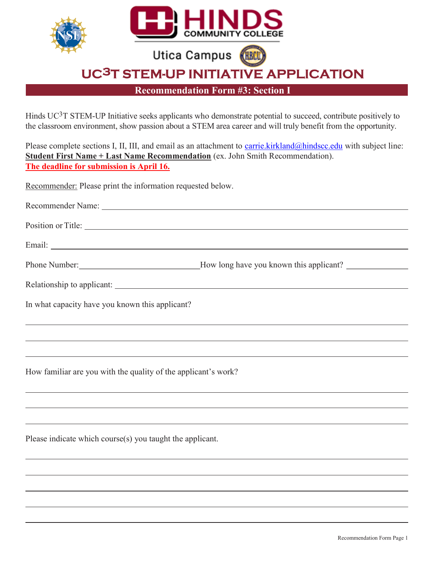

Recommendation Form #3: Section I

Hinds UC3T STEM-UP Initiative seeks applicants who demonstrate potential to succeed, contribute positively to the classroom environment, show passion about a STEM area career and will truly benefit from the opportunity.

Please complete sections I, II, III, and email as an attachment to carrie.kirkland@hindscc.edu with subject line: Student First Name + Last Name Recommendation (ex. John Smith Recommendation). The deadline for submission is April 16.

Recommender: Please print the information requested below.

| Position or Title:                                             |  |  |  |
|----------------------------------------------------------------|--|--|--|
|                                                                |  |  |  |
|                                                                |  |  |  |
|                                                                |  |  |  |
| In what capacity have you known this applicant?                |  |  |  |
|                                                                |  |  |  |
|                                                                |  |  |  |
| How familiar are you with the quality of the applicant's work? |  |  |  |

Please indicate which course(s) you taught the applicant.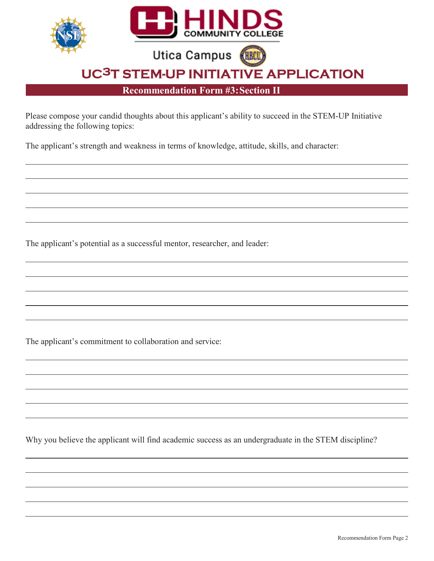

Please compose your candid thoughts about this applicant's ability to succeed in the STEM-UP Initiative addressing the following topics:

The applicant's strength and weakness in terms of knowledge, attitude, skills, and character:

The applicant's potential as a successful mentor, researcher, and leader:

The applicant's commitment to collaboration and service:

Why you believe the applicant will find academic success as an undergraduate in the STEM discipline?